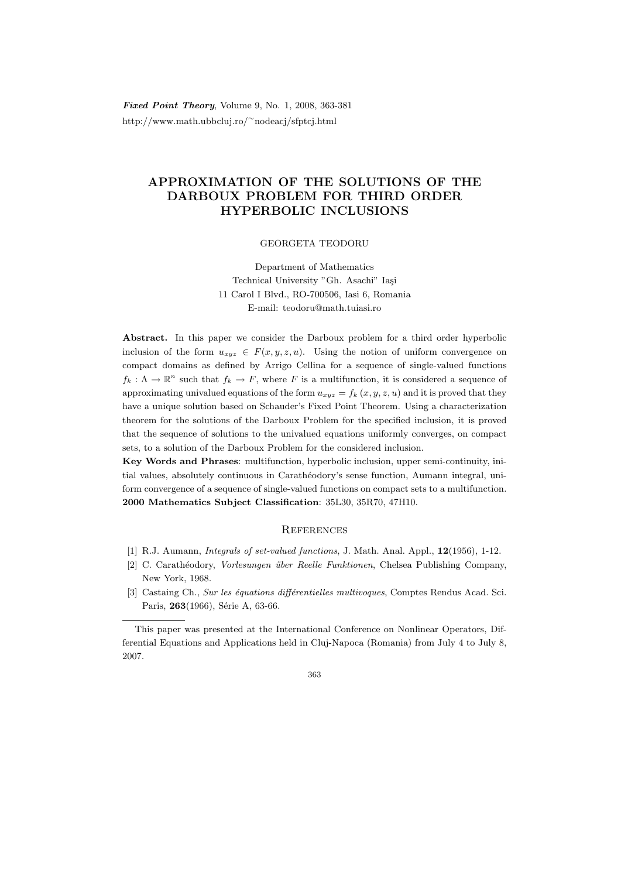**Fixed Point Theory, Volume 9, No. 1, 2008, 363-381** http://www.math.ubbcluj.ro/<sup>∼</sup>nodeacj/sfptcj.html

## APPROXIMATION OF THE SOLUTIONS OF THE DARBOUX PROBLEM FOR THIRD ORDER HYPERBOLIC INCLUSIONS

GEORGETA TEODORU

Department of Mathematics Technical University "Gh. Asachi" Iasi 11 Carol I Blvd., RO-700506, Iasi 6, Romania E-mail: teodoru@math.tuiasi.ro

Abstract. In this paper we consider the Darboux problem for a third order hyperbolic inclusion of the form  $u_{xyz} \in F(x, y, z, u)$ . Using the notion of uniform convergence on compact domains as defined by Arrigo Cellina for a sequence of single-valued functions  $f_k: \Lambda \to \mathbb{R}^n$  such that  $f_k \to F$ , where F is a multifunction, it is considered a sequence of approximating univalued equations of the form  $u_{xyz} = f_k(x, y, z, u)$  and it is proved that they have a unique solution based on Schauder's Fixed Point Theorem. Using a characterization theorem for the solutions of the Darboux Problem for the specified inclusion, it is proved that the sequence of solutions to the univalued equations uniformly converges, on compact sets, to a solution of the Darboux Problem for the considered inclusion.

Key Words and Phrases: multifunction, hyperbolic inclusion, upper semi-continuity, initial values, absolutely continuous in Carathéodory's sense function, Aumann integral, uniform convergence of a sequence of single-valued functions on compact sets to a multifunction. 2000 Mathematics Subject Classification: 35L30, 35R70, 47H10.

## **REFERENCES**

- [1] R.J. Aumann, Integrals of set-valued functions, J. Math. Anal. Appl., 12(1956), 1-12.
- [2] C. Carath´eodory, Vorlesungen ¨uber Reelle Funktionen, Chelsea Publishing Company, New York, 1968.
- [3] Castaing Ch., Sur les équations différentielles multivoques, Comptes Rendus Acad. Sci. Paris, 263(1966), Série A, 63-66.

This paper was presented at the International Conference on Nonlinear Operators, Differential Equations and Applications held in Cluj-Napoca (Romania) from July 4 to July 8, 2007.

<sup>363</sup>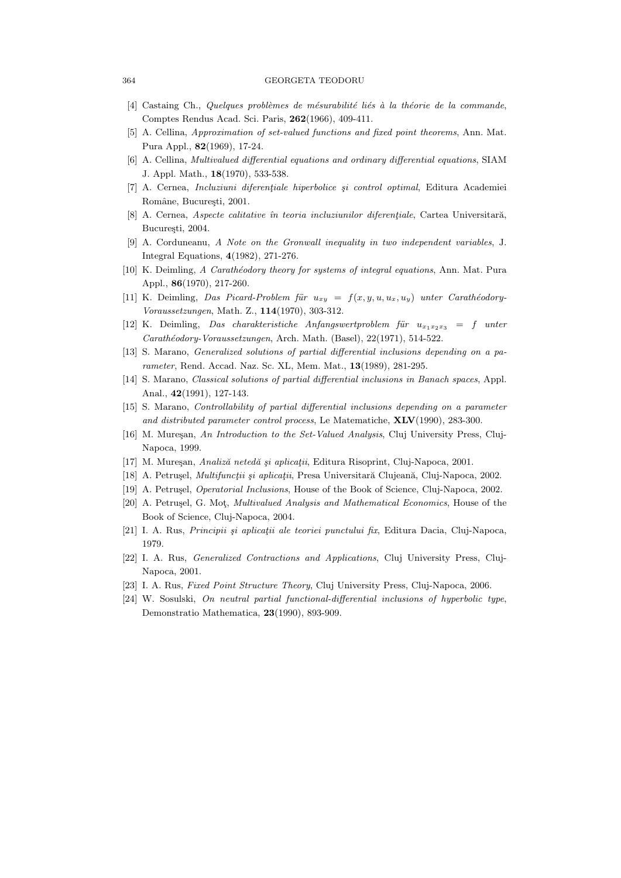## 364 GEORGETA TEODORU

- [4] Castaing Ch., Quelques problèmes de mésurabilité liés à la théorie de la commande, Comptes Rendus Acad. Sci. Paris, 262(1966), 409-411.
- [5] A. Cellina, Approximation of set-valued functions and fixed point theorems, Ann. Mat. Pura Appl., 82(1969), 17-24.
- [6] A. Cellina, Multivalued differential equations and ordinary differential equations, SIAM J. Appl. Math., 18(1970), 533-538.
- $[7]$  A. Cernea, *Incluziuni diferentiale hiperbolice și control optimal*, Editura Academiei Române, București, 2001.
- [8] A. Cernea, Aspecte calitative în teoria incluziunilor diferențiale, Cartea Universitară, Bucuresti, 2004.
- [9] A. Corduneanu, A Note on the Gronwall inequality in two independent variables, J. Integral Equations, 4(1982), 271-276.
- [10] K. Deimling, A Carathéodory theory for systems of integral equations, Ann. Mat. Pura Appl., 86(1970), 217-260.
- [11] K. Deimling, Das Picard-Problem für  $u_{xy} = f(x, y, u, u_x, u_y)$  unter Carathéodory-Voraussetzungen, Math. Z., 114(1970), 303-312.
- [12] K. Deimling, Das charakteristiche Anfangswertproblem für  $u_{x_1x_2x_3} = f$  unter Carathéodory-Voraussetzungen, Arch. Math. (Basel), 22(1971), 514-522.
- [13] S. Marano, Generalized solutions of partial differential inclusions depending on a parameter, Rend. Accad. Naz. Sc. XL, Mem. Mat., 13(1989), 281-295.
- [14] S. Marano, Classical solutions of partial differential inclusions in Banach spaces, Appl. Anal., 42(1991), 127-143.
- [15] S. Marano, Controllability of partial differential inclusions depending on a parameter and distributed parameter control process, Le Matematiche, XLV(1990), 283-300.
- [16] M. Mureşan, An Introduction to the Set-Valued Analysis, Cluj University Press, Cluj-Napoca, 1999.
- [17] M. Mureşan, Analiză netedă și aplicații, Editura Risoprint, Cluj-Napoca, 2001.
- [18] A. Petrușel, *Multifuncții și aplicații*, Presa Universitară Clujeană, Cluj-Napoca, 2002.
- [19] A. Petrușel, *Operatorial Inclusions*, House of the Book of Science, Cluj-Napoca, 2002.
- [20] A. Petrusel, G. Mot, *Multivalued Analysis and Mathematical Economics*, House of the Book of Science, Cluj-Napoca, 2004.
- [21] I. A. Rus, *Principii și aplicații ale teoriei punctului fix*, Editura Dacia, Cluj-Napoca, 1979.
- [22] I. A. Rus, Generalized Contractions and Applications, Cluj University Press, Cluj-Napoca, 2001.
- [23] I. A. Rus, Fixed Point Structure Theory, Cluj University Press, Cluj-Napoca, 2006.
- [24] W. Sosulski, On neutral partial functional-differential inclusions of hyperbolic type, Demonstratio Mathematica, 23(1990), 893-909.